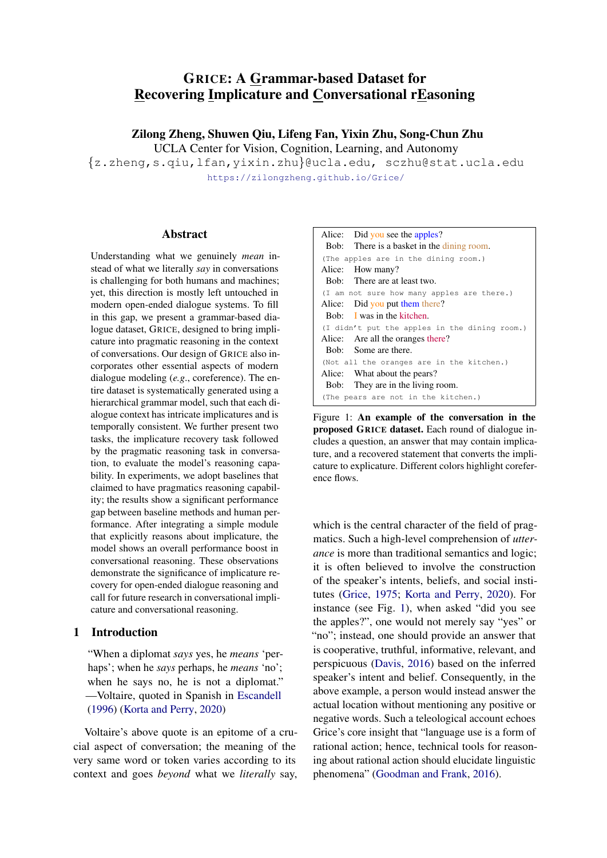# <span id="page-0-1"></span>GRICE: A Grammar-based Dataset for Recovering Implicature and Conversational rEasoning

Zilong Zheng, Shuwen Qiu, Lifeng Fan, Yixin Zhu, Song-Chun Zhu

UCLA Center for Vision, Cognition, Learning, and Autonomy

{z.zheng,s.qiu,lfan,yixin.zhu}@ucla.edu, sczhu@stat.ucla.edu <https://zilongzheng.github.io/Grice/>

# Abstract

Understanding what we genuinely *mean* instead of what we literally *say* in conversations is challenging for both humans and machines; yet, this direction is mostly left untouched in modern open-ended dialogue systems. To fill in this gap, we present a grammar-based dialogue dataset, GRICE, designed to bring implicature into pragmatic reasoning in the context of conversations. Our design of GRICE also incorporates other essential aspects of modern dialogue modeling (*e.g*., coreference). The entire dataset is systematically generated using a hierarchical grammar model, such that each dialogue context has intricate implicatures and is temporally consistent. We further present two tasks, the implicature recovery task followed by the pragmatic reasoning task in conversation, to evaluate the model's reasoning capability. In experiments, we adopt baselines that claimed to have pragmatics reasoning capability; the results show a significant performance gap between baseline methods and human performance. After integrating a simple module that explicitly reasons about implicature, the model shows an overall performance boost in conversational reasoning. These observations demonstrate the significance of implicature recovery for open-ended dialogue reasoning and call for future research in conversational implicature and conversational reasoning.

# 1 Introduction

"When a diplomat *says* yes, he *means* 'perhaps'; when he *says* perhaps, he *means* 'no'; when he says no, he is not a diplomat." —Voltaire, quoted in Spanish in [Escandell](#page-9-0) [\(1996\)](#page-9-0) [\(Korta and Perry,](#page-10-0) [2020\)](#page-10-0)

Voltaire's above quote is an epitome of a crucial aspect of conversation; the meaning of the very same word or token varies according to its context and goes *beyond* what we *literally* say,

<span id="page-0-0"></span>

| Alice: Did you see the apples?                |
|-----------------------------------------------|
| Bob: There is a basket in the dining room.    |
| (The apples are in the dining room.)          |
| Alice: How many?                              |
| Bob: There are at least two.                  |
| (I am not sure how many apples are there.)    |
| Alice: Did you put them there?                |
| Bob: I was in the kitchen.                    |
| (I didn't put the apples in the dining room.) |
| Alice: Are all the oranges there?             |
| Bob: Some are there.                          |
| (Not all the oranges are in the kitchen.)     |
| Alice: What about the pears?                  |
| Bob: They are in the living room.             |
| (The pears are not in the kitchen.)           |

Figure 1: An example of the conversation in the proposed GRICE dataset. Each round of dialogue includes a question, an answer that may contain implicature, and a recovered statement that converts the implicature to explicature. Different colors highlight coreference flows.

which is the central character of the field of pragmatics. Such a high-level comprehension of *utterance* is more than traditional semantics and logic; it is often believed to involve the construction of the speaker's intents, beliefs, and social institutes [\(Grice,](#page-9-1) [1975;](#page-9-1) [Korta and Perry,](#page-10-0) [2020\)](#page-10-0). For instance (see Fig. [1\)](#page-0-0), when asked "did you see the apples?", one would not merely say "yes" or "no"; instead, one should provide an answer that is cooperative, truthful, informative, relevant, and perspicuous [\(Davis,](#page-9-2) [2016\)](#page-9-2) based on the inferred speaker's intent and belief. Consequently, in the above example, a person would instead answer the actual location without mentioning any positive or negative words. Such a teleological account echoes Grice's core insight that "language use is a form of rational action; hence, technical tools for reasoning about rational action should elucidate linguistic phenomena" [\(Goodman and Frank,](#page-9-3) [2016\)](#page-9-3).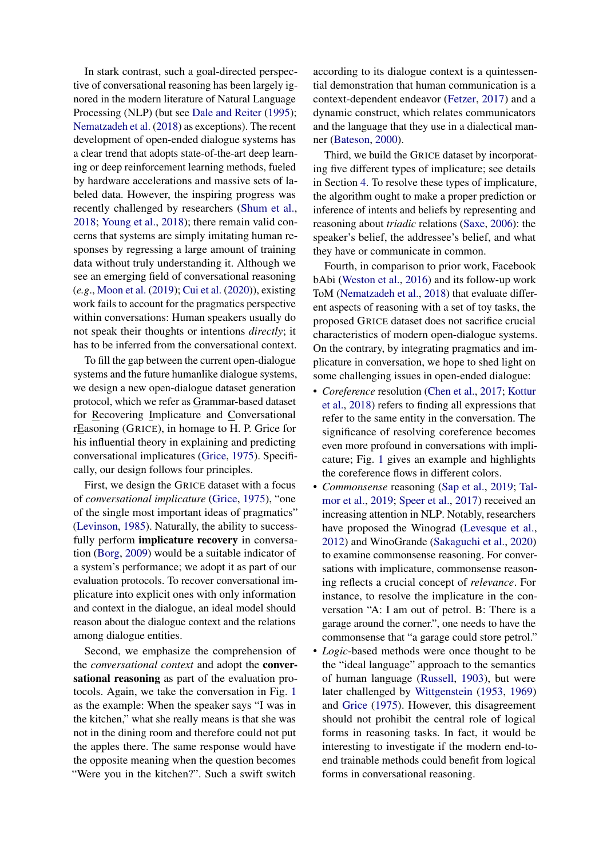In stark contrast, such a goal-directed perspective of conversational reasoning has been largely ignored in the modern literature of Natural Language Processing (NLP) (but see [Dale and Reiter](#page-9-4) [\(1995\)](#page-9-4); [Nematzadeh et al.](#page-10-1) [\(2018\)](#page-10-1) as exceptions). The recent development of open-ended dialogue systems has a clear trend that adopts state-of-the-art deep learning or deep reinforcement learning methods, fueled by hardware accelerations and massive sets of labeled data. However, the inspiring progress was recently challenged by researchers [\(Shum et al.,](#page-10-2) [2018;](#page-10-2) [Young et al.,](#page-11-0) [2018\)](#page-11-0); there remain valid concerns that systems are simply imitating human responses by regressing a large amount of training data without truly understanding it. Although we see an emerging field of conversational reasoning (*e.g*., [Moon et al.](#page-10-3) [\(2019\)](#page-10-3); [Cui et al.](#page-9-5) [\(2020\)](#page-9-5)), existing work fails to account for the pragmatics perspective within conversations: Human speakers usually do not speak their thoughts or intentions *directly*; it has to be inferred from the conversational context.

To fill the gap between the current open-dialogue systems and the future humanlike dialogue systems, we design a new open-dialogue dataset generation protocol, which we refer as Grammar-based dataset for Recovering Implicature and Conversational rEasoning (GRICE), in homage to H. P. Grice for his influential theory in explaining and predicting conversational implicatures [\(Grice,](#page-9-1) [1975\)](#page-9-1). Specifically, our design follows four principles.

First, we design the GRICE dataset with a focus of *conversational implicature* [\(Grice,](#page-9-1) [1975\)](#page-9-1), "one of the single most important ideas of pragmatics" [\(Levinson,](#page-10-4) [1985\)](#page-10-4). Naturally, the ability to successfully perform **implicature recovery** in conversation [\(Borg,](#page-9-6) [2009\)](#page-9-6) would be a suitable indicator of a system's performance; we adopt it as part of our evaluation protocols. To recover conversational implicature into explicit ones with only information and context in the dialogue, an ideal model should reason about the dialogue context and the relations among dialogue entities.

Second, we emphasize the comprehension of the *conversational context* and adopt the conversational reasoning as part of the evaluation protocols. Again, we take the conversation in Fig. [1](#page-0-0) as the example: When the speaker says "I was in the kitchen," what she really means is that she was not in the dining room and therefore could not put the apples there. The same response would have the opposite meaning when the question becomes "Were you in the kitchen?". Such a swift switch

according to its dialogue context is a quintessential demonstration that human communication is a context-dependent endeavor [\(Fetzer,](#page-9-7) [2017\)](#page-9-7) and a dynamic construct, which relates communicators and the language that they use in a dialectical manner [\(Bateson,](#page-9-8) [2000\)](#page-9-8).

Third, we build the GRICE dataset by incorporating five different types of implicature; see details in Section [4.](#page-4-0) To resolve these types of implicature, the algorithm ought to make a proper prediction or inference of intents and beliefs by representing and reasoning about *triadic* relations [\(Saxe,](#page-10-5) [2006\)](#page-10-5): the speaker's belief, the addressee's belief, and what they have or communicate in common.

Fourth, in comparison to prior work, Facebook bAbi [\(Weston et al.,](#page-11-1) [2016\)](#page-11-1) and its follow-up work ToM [\(Nematzadeh et al.,](#page-10-1) [2018\)](#page-10-1) that evaluate different aspects of reasoning with a set of toy tasks, the proposed GRICE dataset does not sacrifice crucial characteristics of modern open-dialogue systems. On the contrary, by integrating pragmatics and implicature in conversation, we hope to shed light on some challenging issues in open-ended dialogue:

- *Coreference* resolution [\(Chen et al.,](#page-9-9) [2017;](#page-9-9) [Kottur](#page-10-6) [et al.,](#page-10-6) [2018\)](#page-10-6) refers to finding all expressions that refer to the same entity in the conversation. The significance of resolving coreference becomes even more profound in conversations with implicature; Fig. [1](#page-0-0) gives an example and highlights the coreference flows in different colors.
- *Commonsense* reasoning [\(Sap et al.,](#page-10-7) [2019;](#page-10-7) [Tal](#page-10-8)[mor et al.,](#page-10-8) [2019;](#page-10-8) [Speer et al.,](#page-10-9) [2017\)](#page-10-9) received an increasing attention in NLP. Notably, researchers have proposed the Winograd [\(Levesque et al.,](#page-10-10) [2012\)](#page-10-10) and WinoGrande [\(Sakaguchi et al.,](#page-10-11) [2020\)](#page-10-11) to examine commonsense reasoning. For conversations with implicature, commonsense reasoning reflects a crucial concept of *relevance*. For instance, to resolve the implicature in the conversation "A: I am out of petrol. B: There is a garage around the corner.", one needs to have the commonsense that "a garage could store petrol."
- *Logic*-based methods were once thought to be the "ideal language" approach to the semantics of human language [\(Russell,](#page-10-12) [1903\)](#page-10-12), but were later challenged by [Wittgenstein](#page-11-2) [\(1953,](#page-11-2) [1969\)](#page-11-3) and [Grice](#page-9-1) [\(1975\)](#page-9-1). However, this disagreement should not prohibit the central role of logical forms in reasoning tasks. In fact, it would be interesting to investigate if the modern end-toend trainable methods could benefit from logical forms in conversational reasoning.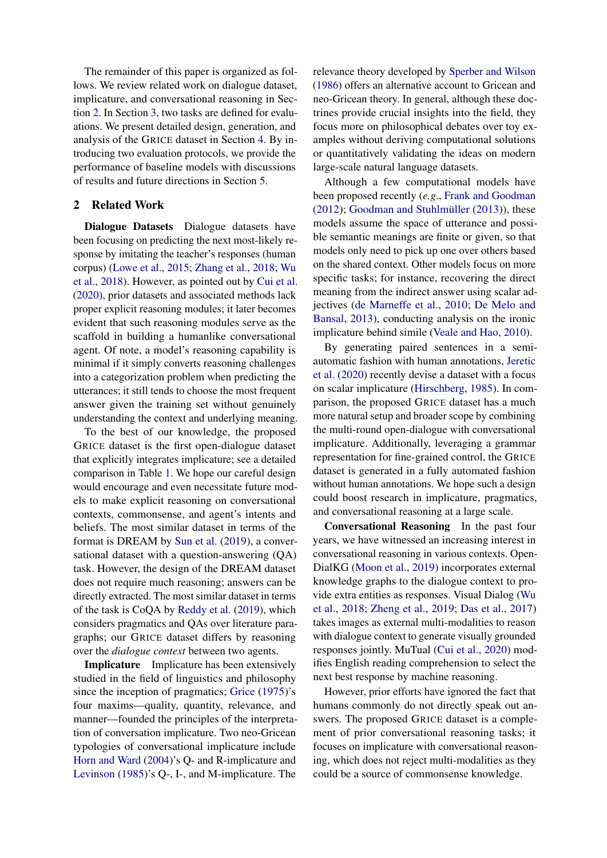The remainder of this paper is organized as follows. We review related work on dialogue dataset, implicature, and conversational reasoning in Section [2.](#page-2-0) In Section [3,](#page-3-0) two tasks are defined for evaluations. We present detailed design, generation, and analysis of the GRICE dataset in Section [4.](#page-4-0) By introducing two evaluation protocols, we provide the performance of baseline models with discussions of results and future directions in Section [5.](#page-6-0)

### <span id="page-2-0"></span>2 Related Work

Dialogue Datasets Dialogue datasets have been focusing on predicting the next most-likely response by imitating the teacher's responses (human corpus) [\(Lowe et al.,](#page-10-13) [2015;](#page-10-13) [Zhang et al.,](#page-11-4) [2018;](#page-11-4) [Wu](#page-11-5) [et al.,](#page-11-5) [2018\)](#page-11-5). However, as pointed out by [Cui et al.](#page-9-5) [\(2020\)](#page-9-5), prior datasets and associated methods lack proper explicit reasoning modules; it later becomes evident that such reasoning modules serve as the scaffold in building a humanlike conversational agent. Of note, a model's reasoning capability is minimal if it simply converts reasoning challenges into a categorization problem when predicting the utterances; it still tends to choose the most frequent answer given the training set without genuinely understanding the context and underlying meaning.

To the best of our knowledge, the proposed GRICE dataset is the first open-dialogue dataset that explicitly integrates implicature; see a detailed comparison in Table [1.](#page-3-1) We hope our careful design would encourage and even necessitate future models to make explicit reasoning on conversational contexts, commonsense, and agent's intents and beliefs. The most similar dataset in terms of the format is DREAM by [Sun et al.](#page-10-14) [\(2019\)](#page-10-14), a conversational dataset with a question-answering (QA) task. However, the design of the DREAM dataset does not require much reasoning; answers can be directly extracted. The most similar dataset in terms of the task is CoQA by [Reddy et al.](#page-10-15) [\(2019\)](#page-10-15), which considers pragmatics and QAs over literature paragraphs; our GRICE dataset differs by reasoning over the *dialogue context* between two agents.

Implicature Implicature has been extensively studied in the field of linguistics and philosophy since the inception of pragmatics; [Grice](#page-9-1) [\(1975\)](#page-9-1)'s four maxims—quality, quantity, relevance, and manner—founded the principles of the interpretation of conversation implicature. Two neo-Gricean typologies of conversational implicature include [Horn and Ward](#page-9-10) [\(2004\)](#page-9-10)'s Q- and R-implicature and [Levinson](#page-10-4) [\(1985\)](#page-10-4)'s Q-, I-, and M-implicature. The

relevance theory developed by [Sperber and Wilson](#page-10-16) [\(1986\)](#page-10-16) offers an alternative account to Gricean and neo-Gricean theory. In general, although these doctrines provide crucial insights into the field, they focus more on philosophical debates over toy examples without deriving computational solutions or quantitatively validating the ideas on modern large-scale natural language datasets.

Although a few computational models have been proposed recently (*e.g*., [Frank and Goodman](#page-9-11)  $(2012)$ ; Goodman and Stuhlmüller  $(2013)$ ), these models assume the space of utterance and possible semantic meanings are finite or given, so that models only need to pick up one over others based on the shared context. Other models focus on more specific tasks; for instance, recovering the direct meaning from the indirect answer using scalar adjectives [\(de Marneffe et al.,](#page-10-17) [2010;](#page-10-17) [De Melo and](#page-9-13) [Bansal,](#page-9-13) [2013\)](#page-9-13), conducting analysis on the ironic implicature behind simile [\(Veale and Hao,](#page-11-6) [2010\)](#page-11-6).

By generating paired sentences in a semiautomatic fashion with human annotations, [Jeretic](#page-9-14) [et al.](#page-9-14) [\(2020\)](#page-9-14) recently devise a dataset with a focus on scalar implicature [\(Hirschberg,](#page-9-15) [1985\)](#page-9-15). In comparison, the proposed GRICE dataset has a much more natural setup and broader scope by combining the multi-round open-dialogue with conversational implicature. Additionally, leveraging a grammar representation for fine-grained control, the GRICE dataset is generated in a fully automated fashion without human annotations. We hope such a design could boost research in implicature, pragmatics, and conversational reasoning at a large scale.

Conversational Reasoning In the past four years, we have witnessed an increasing interest in conversational reasoning in various contexts. Open-DialKG [\(Moon et al.,](#page-10-3) [2019\)](#page-10-3) incorporates external knowledge graphs to the dialogue context to provide extra entities as responses. Visual Dialog [\(Wu](#page-11-5) [et al.,](#page-11-5) [2018;](#page-11-5) [Zheng et al.,](#page-11-7) [2019;](#page-11-7) [Das et al.,](#page-9-16) [2017\)](#page-9-16) takes images as external multi-modalities to reason with dialogue context to generate visually grounded responses jointly. MuTual [\(Cui et al.,](#page-9-5) [2020\)](#page-9-5) modifies English reading comprehension to select the next best response by machine reasoning.

However, prior efforts have ignored the fact that humans commonly do not directly speak out answers. The proposed GRICE dataset is a complement of prior conversational reasoning tasks; it focuses on implicature with conversational reasoning, which does not reject multi-modalities as they could be a source of commonsense knowledge.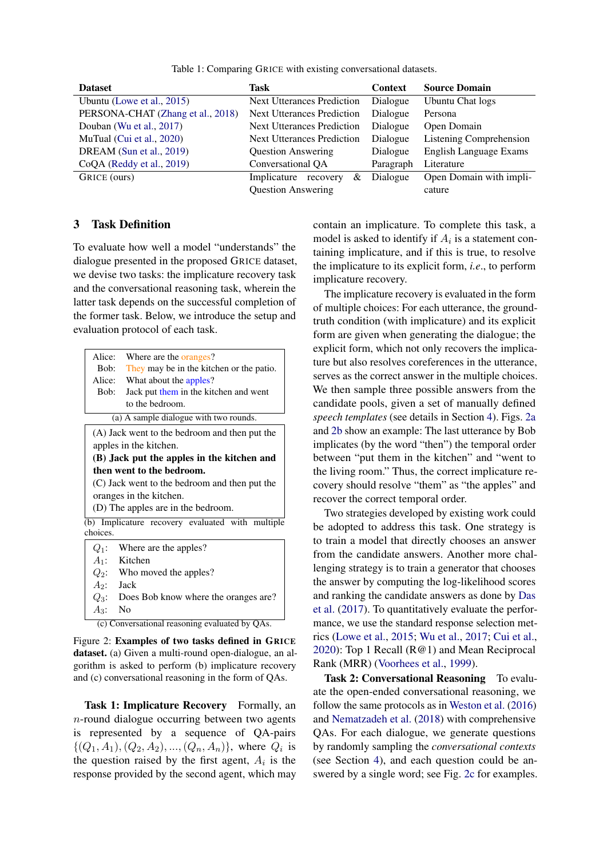<span id="page-3-1"></span>

| <b>Dataset</b>                    | Task                              | <b>Context</b> | <b>Source Domain</b>           |
|-----------------------------------|-----------------------------------|----------------|--------------------------------|
| Ubuntu (Lowe et al., 2015)        | <b>Next Utterances Prediction</b> | Dialogue       | Ubuntu Chat logs               |
| PERSONA-CHAT (Zhang et al., 2018) | <b>Next Utterances Prediction</b> | Dialogue       | Persona                        |
| Douban (Wu et al., 2017)          | <b>Next Utterances Prediction</b> | Dialogue       | Open Domain                    |
| MuTual (Cui et al., 2020)         | <b>Next Utterances Prediction</b> | Dialogue       | <b>Listening Comprehension</b> |
| DREAM (Sun et al., 2019)          | <b>Ouestion Answering</b>         | Dialogue       | <b>English Language Exams</b>  |
| CoQA (Reddy et al., 2019)         | Conversational QA                 |                | Literature                     |
| GRICE (ours)                      | Implicature<br>recovery<br>&      | Dialogue       | Open Domain with impli-        |
|                                   | <b>Question Answering</b>         |                | cature                         |

Table 1: Comparing GRICE with existing conversational datasets.

# <span id="page-3-0"></span>3 Task Definition

To evaluate how well a model "understands" the dialogue presented in the proposed GRICE dataset, we devise two tasks: the implicature recovery task and the conversational reasoning task, wherein the latter task depends on the successful completion of the former task. Below, we introduce the setup and evaluation protocol of each task.

<span id="page-3-2"></span>

| Alice: Where are the oranges?                    |  |  |  |
|--------------------------------------------------|--|--|--|
| Bob:<br>They may be in the kitchen or the patio. |  |  |  |
| Alice: What about the apples?                    |  |  |  |
| Bob:<br>Jack put them in the kitchen and went    |  |  |  |
| to the bedroom.                                  |  |  |  |
| (a) A sample dialogue with two rounds.           |  |  |  |
| (A) Jack went to the bedroom and then put the    |  |  |  |
| apples in the kitchen.                           |  |  |  |
| (B) Jack put the apples in the kitchen and       |  |  |  |
| then went to the bedroom.                        |  |  |  |
| (C) Jack went to the bedroom and then put the    |  |  |  |
| oranges in the kitchen.                          |  |  |  |
| (D) The apples are in the bedroom.               |  |  |  |
| (b) Implicature recovery evaluated with multiple |  |  |  |
| choices.                                         |  |  |  |
| $Q_1$ : Where are the apples?                    |  |  |  |
| $A_1$ : Kitchen                                  |  |  |  |
| $Q_2$ : Who moved the apples?                    |  |  |  |
| $A_2$ : Jack                                     |  |  |  |
| $Q_3$ :<br>Does Bob know where the oranges are?  |  |  |  |
| $A_3$ :<br>N <sub>0</sub>                        |  |  |  |
| (c) Conversational reasoning evaluated by QAs.   |  |  |  |

Figure 2: Examples of two tasks defined in GRICE dataset. (a) Given a multi-round open-dialogue, an algorithm is asked to perform (b) implicature recovery and (c) conversational reasoning in the form of QAs.

Task 1: Implicature Recovery Formally, an n-round dialogue occurring between two agents is represented by a sequence of QA-pairs  $\{(Q_1, A_1), (Q_2, A_2), ..., (Q_n, A_n)\}\$ , where  $Q_i$  is the question raised by the first agent,  $A_i$  is the response provided by the second agent, which may contain an implicature. To complete this task, a model is asked to identify if  $A_i$  is a statement containing implicature, and if this is true, to resolve the implicature to its explicit form, *i.e*., to perform implicature recovery.

The implicature recovery is evaluated in the form of multiple choices: For each utterance, the groundtruth condition (with implicature) and its explicit form are given when generating the dialogue; the explicit form, which not only recovers the implicature but also resolves coreferences in the utterance, serves as the correct answer in the multiple choices. We then sample three possible answers from the candidate pools, given a set of manually defined *speech templates* (see details in Section [4\)](#page-4-0). Figs. [2a](#page-3-2) and [2b](#page-3-2) show an example: The last utterance by Bob implicates (by the word "then") the temporal order between "put them in the kitchen" and "went to the living room." Thus, the correct implicature recovery should resolve "them" as "the apples" and recover the correct temporal order.

Two strategies developed by existing work could be adopted to address this task. One strategy is to train a model that directly chooses an answer from the candidate answers. Another more challenging strategy is to train a generator that chooses the answer by computing the log-likelihood scores and ranking the candidate answers as done by [Das](#page-9-16) [et al.](#page-9-16) [\(2017\)](#page-9-16). To quantitatively evaluate the performance, we use the standard response selection metrics [\(Lowe et al.,](#page-10-13) [2015;](#page-10-13) [Wu et al.,](#page-11-8) [2017;](#page-11-8) [Cui et al.,](#page-9-5) [2020\)](#page-9-5): Top 1 Recall (R@1) and Mean Reciprocal Rank (MRR) [\(Voorhees et al.,](#page-11-9) [1999\)](#page-11-9).

Task 2: Conversational Reasoning To evaluate the open-ended conversational reasoning, we follow the same protocols as in [Weston et al.](#page-11-1) [\(2016\)](#page-11-1) and [Nematzadeh et al.](#page-10-1) [\(2018\)](#page-10-1) with comprehensive QAs. For each dialogue, we generate questions by randomly sampling the *conversational contexts* (see Section [4\)](#page-4-0), and each question could be answered by a single word; see Fig. [2c](#page-3-2) for examples.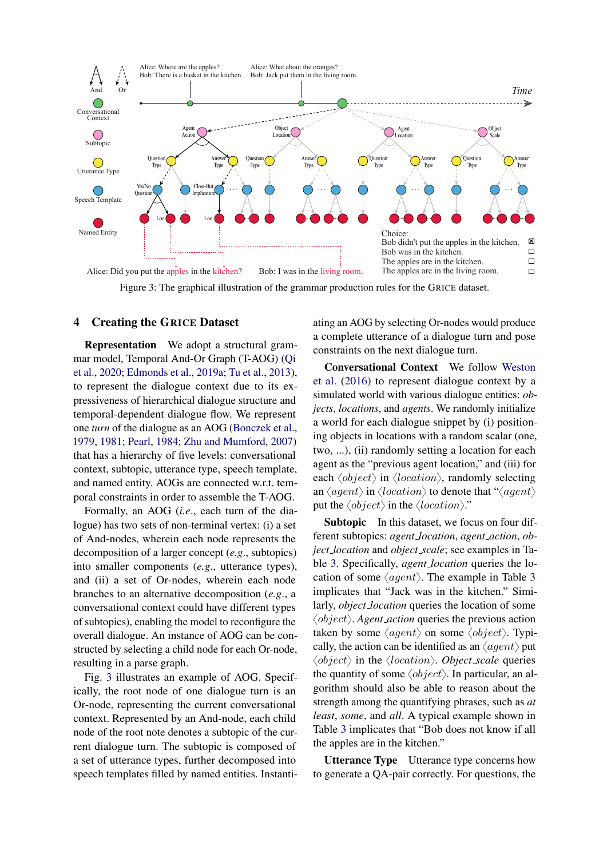<span id="page-4-1"></span>

Figure 3: The graphical illustration of the grammar production rules for the GRICE dataset.

#### <span id="page-4-0"></span>4 Creating the GRICE Dataset

Representation We adopt a structural grammar model, Temporal And-Or Graph (T-AOG) [\(Qi](#page-10-18) [et al.,](#page-10-18) [2020;](#page-10-18) [Edmonds et al.,](#page-9-17) [2019a;](#page-9-17) [Tu et al.,](#page-10-19) [2013\)](#page-10-19), to represent the dialogue context due to its expressiveness of hierarchical dialogue structure and temporal-dependent dialogue flow. We represent one *turn* of the dialogue as an AOG [\(Bonczek et al.,](#page-9-18) [1979,](#page-9-18) [1981;](#page-9-19) [Pearl,](#page-10-20) [1984;](#page-10-20) [Zhu and Mumford,](#page-11-10) [2007\)](#page-11-10) that has a hierarchy of five levels: conversational context, subtopic, utterance type, speech template, and named entity. AOGs are connected w.r.t. temporal constraints in order to assemble the T-AOG.

Formally, an AOG (*i.e*., each turn of the dialogue) has two sets of non-terminal vertex: (i) a set of And-nodes, wherein each node represents the decomposition of a larger concept (*e.g*., subtopics) into smaller components (*e.g*., utterance types), and (ii) a set of Or-nodes, wherein each node branches to an alternative decomposition (*e.g*., a conversational context could have different types of subtopics), enabling the model to reconfigure the overall dialogue. An instance of AOG can be constructed by selecting a child node for each Or-node, resulting in a parse graph.

Fig. [3](#page-4-1) illustrates an example of AOG. Specifically, the root node of one dialogue turn is an Or-node, representing the current conversational context. Represented by an And-node, each child node of the root note denotes a subtopic of the current dialogue turn. The subtopic is composed of a set of utterance types, further decomposed into speech templates filled by named entities. Instantiating an AOG by selecting Or-nodes would produce a complete utterance of a dialogue turn and pose constraints on the next dialogue turn.

Conversational Context We follow [Weston](#page-11-1) [et al.](#page-11-1) [\(2016\)](#page-11-1) to represent dialogue context by a simulated world with various dialogue entities: *objects*, *locations*, and *agents*. We randomly initialize a world for each dialogue snippet by (i) positioning objects in locations with a random scalar (one, two, ...), (ii) randomly setting a location for each agent as the "previous agent location," and (iii) for each  $\langle object \rangle$  in  $\langle location \rangle$ , randomly selecting an  $\langle agent \rangle$  in  $\langle location \rangle$  to denote that " $\langle agent \rangle$ put the  $\langle object \rangle$  in the  $\langle location \rangle$ ."

Subtopic In this dataset, we focus on four different subtopics: *agent location*, *agent action*, *object location* and *object scale*; see examples in Table [3.](#page-5-0) Specifically, *agent location* queries the location of some  $\langle agent \rangle$ . The example in Table [3](#page-5-0) implicates that "Jack was in the kitchen." Similarly, *object location* queries the location of some  $\langle object \rangle$ . *Agent\_action* queries the previous action taken by some  $\langle agent \rangle$  on some  $\langle object \rangle$ . Typically, the action can be identified as an  $\langle agent \rangle$  put  $\langle object \rangle$  in the  $\langle location \rangle$ . *Object\_scale* queries the quantity of some  $\langle object \rangle$ . In particular, an algorithm should also be able to reason about the strength among the quantifying phrases, such as *at least*, *some*, and *all*. A typical example shown in Table [3](#page-5-0) implicates that "Bob does not know if all the apples are in the kitchen."

Utterance Type Utterance type concerns how to generate a QA-pair correctly. For questions, the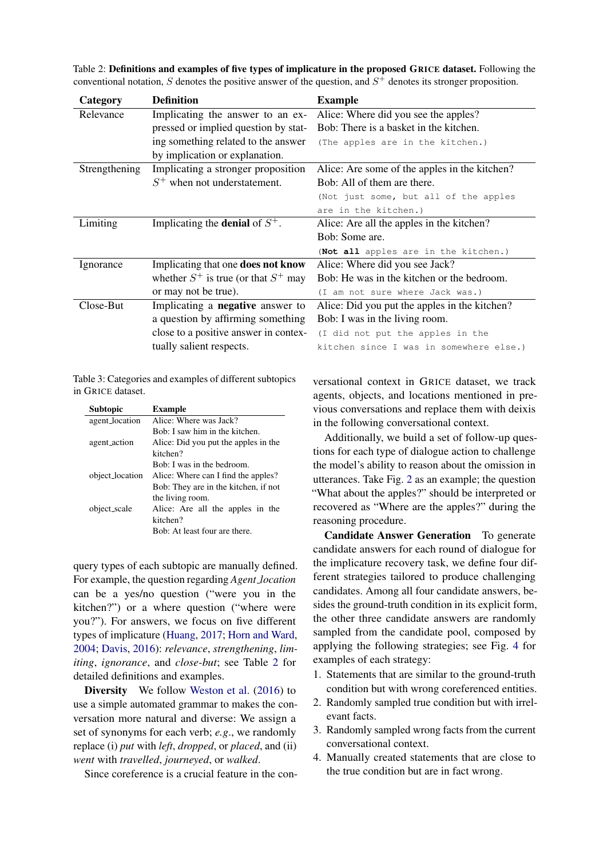| Category      | <b>Definition</b>                         | <b>Example</b>                                |
|---------------|-------------------------------------------|-----------------------------------------------|
| Relevance     | Implicating the answer to an ex-          | Alice: Where did you see the apples?          |
|               | pressed or implied question by stat-      | Bob: There is a basket in the kitchen.        |
|               | ing something related to the answer       | (The apples are in the kitchen.)              |
|               | by implication or explanation.            |                                               |
| Strengthening | Implicating a stronger proposition        | Alice: Are some of the apples in the kitchen? |
|               | $S^+$ when not understatement.            | Bob: All of them are there.                   |
|               |                                           | (Not just some, but all of the apples         |
|               |                                           | are in the kitchen.)                          |
| Limiting      | Implicating the <b>denial</b> of $S^+$ .  | Alice: Are all the apples in the kitchen?     |
|               |                                           | Bob: Some are.                                |
|               |                                           | (Not all apples are in the kitchen.)          |
| Ignorance     | Implicating that one <b>does not know</b> | Alice: Where did you see Jack?                |
|               | whether $S^+$ is true (or that $S^+$ may  | Bob: He was in the kitchen or the bedroom.    |
|               | or may not be true).                      | (I am not sure where Jack was.)               |
| Close-But     | Implicating a <b>negative</b> answer to   | Alice: Did you put the apples in the kitchen? |
|               | a question by affirming something         | Bob: I was in the living room.                |
|               | close to a positive answer in contex-     | (I did not put the apples in the              |
|               | tually salient respects.                  | kitchen since I was in somewhere else.)       |
|               |                                           |                                               |

<span id="page-5-1"></span>Table 2: Definitions and examples of five types of implicature in the proposed GRICE dataset. Following the conventional notation, S denotes the positive answer of the question, and  $S^+$  denotes its stronger proposition.

<span id="page-5-0"></span>Table 3: Categories and examples of different subtopics in GRICE dataset.

| <b>Subtopic</b> | <b>Example</b>                       |  |  |
|-----------------|--------------------------------------|--|--|
| agent_location  | Alice: Where was Jack?               |  |  |
|                 | Bob: I saw him in the kitchen.       |  |  |
| agent_action    | Alice: Did you put the apples in the |  |  |
|                 | kitchen?                             |  |  |
|                 | Bob: I was in the bedroom.           |  |  |
| object_location | Alice: Where can I find the apples?  |  |  |
|                 | Bob: They are in the kitchen, if not |  |  |
|                 | the living room.                     |  |  |
| object_scale    | Alice: Are all the apples in the     |  |  |
|                 | kitchen?                             |  |  |
|                 | Bob: At least four are there.        |  |  |

query types of each subtopic are manually defined. For example, the question regarding *Agent location* can be a yes/no question ("were you in the kitchen?") or a where question ("where were you?"). For answers, we focus on five different types of implicature [\(Huang,](#page-9-20) [2017;](#page-9-20) [Horn and Ward,](#page-9-10) [2004;](#page-9-10) [Davis,](#page-9-2) [2016\)](#page-9-2): *relevance*, *strengthening*, *limiting*, *ignorance*, and *close-but*; see Table [2](#page-5-1) for detailed definitions and examples.

Diversity We follow [Weston et al.](#page-11-1) [\(2016\)](#page-11-1) to use a simple automated grammar to makes the conversation more natural and diverse: We assign a set of synonyms for each verb; *e.g*., we randomly replace (i) *put* with *left*, *dropped*, or *placed*, and (ii) *went* with *travelled*, *journeyed*, or *walked*.

Since coreference is a crucial feature in the con-

versational context in GRICE dataset, we track agents, objects, and locations mentioned in previous conversations and replace them with deixis in the following conversational context.

Additionally, we build a set of follow-up questions for each type of dialogue action to challenge the model's ability to reason about the omission in utterances. Take Fig. [2](#page-3-2) as an example; the question "What about the apples?" should be interpreted or recovered as "Where are the apples?" during the reasoning procedure.

Candidate Answer Generation To generate candidate answers for each round of dialogue for the implicature recovery task, we define four different strategies tailored to produce challenging candidates. Among all four candidate answers, besides the ground-truth condition in its explicit form, the other three candidate answers are randomly sampled from the candidate pool, composed by applying the following strategies; see Fig. [4](#page-6-1) for examples of each strategy:

- 1. Statements that are similar to the ground-truth condition but with wrong coreferenced entities.
- 2. Randomly sampled true condition but with irrelevant facts.
- 3. Randomly sampled wrong facts from the current conversational context.
- 4. Manually created statements that are close to the true condition but are in fact wrong.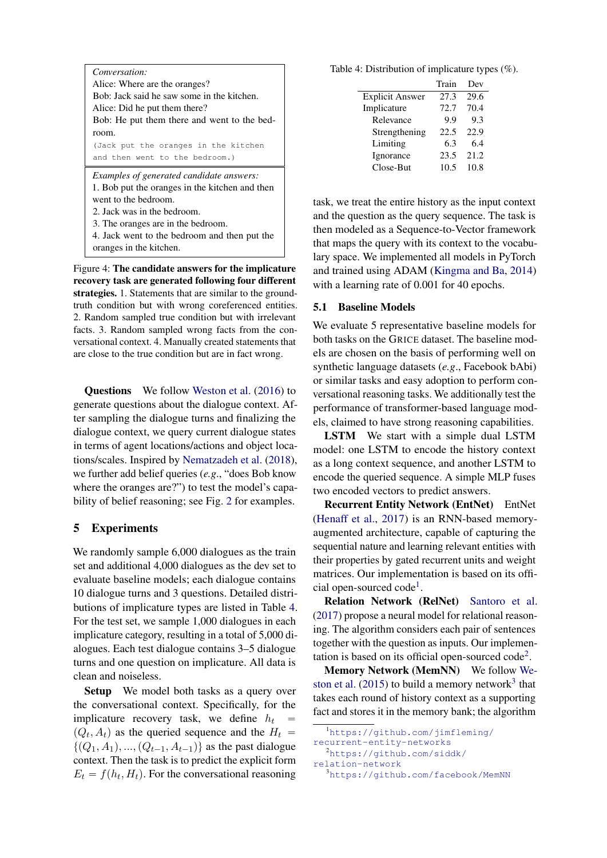<span id="page-6-1"></span>

| Conversation:<br>Alice: Where are the oranges?<br>Bob: Jack said he saw some in the kitchen.<br>Alice: Did he put them there?<br>Bob: He put them there and went to the bed- |  |  |
|------------------------------------------------------------------------------------------------------------------------------------------------------------------------------|--|--|
| room.                                                                                                                                                                        |  |  |
| (Jack put the oranges in the kitchen                                                                                                                                         |  |  |
| and then went to the bedroom.)                                                                                                                                               |  |  |
| Examples of generated candidate answers:<br>1. Bob put the oranges in the kitchen and then                                                                                   |  |  |

went to the bedroom. 2. Jack was in the bedroom. 3. The oranges are in the bedroom.

4. Jack went to the bedroom and then put the oranges in the kitchen.

Figure 4: The candidate answers for the implicature recovery task are generated following four different strategies. 1. Statements that are similar to the groundtruth condition but with wrong coreferenced entities. 2. Random sampled true condition but with irrelevant facts. 3. Random sampled wrong facts from the conversational context. 4. Manually created statements that are close to the true condition but are in fact wrong.

Questions We follow [Weston et al.](#page-11-1) [\(2016\)](#page-11-1) to generate questions about the dialogue context. After sampling the dialogue turns and finalizing the dialogue context, we query current dialogue states in terms of agent locations/actions and object locations/scales. Inspired by [Nematzadeh et al.](#page-10-1) [\(2018\)](#page-10-1), we further add belief queries (*e.g*., "does Bob know where the oranges are?") to test the model's capability of belief reasoning; see Fig. [2](#page-3-2) for examples.

# <span id="page-6-0"></span>5 Experiments

We randomly sample 6,000 dialogues as the train set and additional 4,000 dialogues as the dev set to evaluate baseline models; each dialogue contains 10 dialogue turns and 3 questions. Detailed distributions of implicature types are listed in Table [4.](#page-6-2) For the test set, we sample 1,000 dialogues in each implicature category, resulting in a total of 5,000 dialogues. Each test dialogue contains 3–5 dialogue turns and one question on implicature. All data is clean and noiseless.

Setup We model both tasks as a query over the conversational context. Specifically, for the implicature recovery task, we define  $h_t$  =  $(Q_t, A_t)$  as the queried sequence and the  $H_t =$  $\{(Q_1, A_1), ..., (Q_{t-1}, A_{t-1})\}$  as the past dialogue context. Then the task is to predict the explicit form  $E_t = f(h_t, H_t)$ . For the conversational reasoning

<span id="page-6-2"></span>Table 4: Distribution of implicature types (%).

|                        | Train | Dev  |
|------------------------|-------|------|
| <b>Explicit Answer</b> | 27.3  | 29.6 |
| Implicature            | 72.7  | 70.4 |
| Relevance              | 9.9   | 9.3  |
| Strengthening          | 22.5  | 22.9 |
| Limiting               | 6.3   | 6.4  |
| Ignorance              | 23.5  | 21.2 |
| Close-But              | 10.5  | 10.8 |

task, we treat the entire history as the input context and the question as the query sequence. The task is then modeled as a Sequence-to-Vector framework that maps the query with its context to the vocabulary space. We implemented all models in PyTorch and trained using ADAM [\(Kingma and Ba,](#page-9-21) [2014\)](#page-9-21) with a learning rate of 0.001 for 40 epochs.

# 5.1 Baseline Models

We evaluate 5 representative baseline models for both tasks on the GRICE dataset. The baseline models are chosen on the basis of performing well on synthetic language datasets (*e.g*., Facebook bAbi) or similar tasks and easy adoption to perform conversational reasoning tasks. We additionally test the performance of transformer-based language models, claimed to have strong reasoning capabilities.

LSTM We start with a simple dual LSTM model: one LSTM to encode the history context as a long context sequence, and another LSTM to encode the queried sequence. A simple MLP fuses two encoded vectors to predict answers.

Recurrent Entity Network (EntNet) EntNet [\(Henaff et al.,](#page-9-22) [2017\)](#page-9-22) is an RNN-based memoryaugmented architecture, capable of capturing the sequential nature and learning relevant entities with their properties by gated recurrent units and weight matrices. Our implementation is based on its offi-cial open-sourced code<sup>[1](#page-0-1)</sup>.

Relation Network (RelNet) [Santoro et al.](#page-10-21) [\(2017\)](#page-10-21) propose a neural model for relational reasoning. The algorithm considers each pair of sentences together with the question as inputs. Our implementation is based on its official open-sourced  $code^2$  $code^2$ .

Memory Network (MemNN) We follow [We](#page-11-11)[ston et al.](#page-11-11)  $(2015)$  to build a memory network<sup>[3](#page-0-1)</sup> that takes each round of history context as a supporting fact and stores it in the memory bank; the algorithm

<sup>2</sup>[https://github.com/siddk/](https://github.com/siddk/relation-network) [relation-network](https://github.com/siddk/relation-network)

<sup>1</sup>[https://github.com/jimfleming/]( https://github.com/jimfleming/recurrent-entity-networks)

[recurrent-entity-networks]( https://github.com/jimfleming/recurrent-entity-networks)

<sup>3</sup><https://github.com/facebook/MemNN>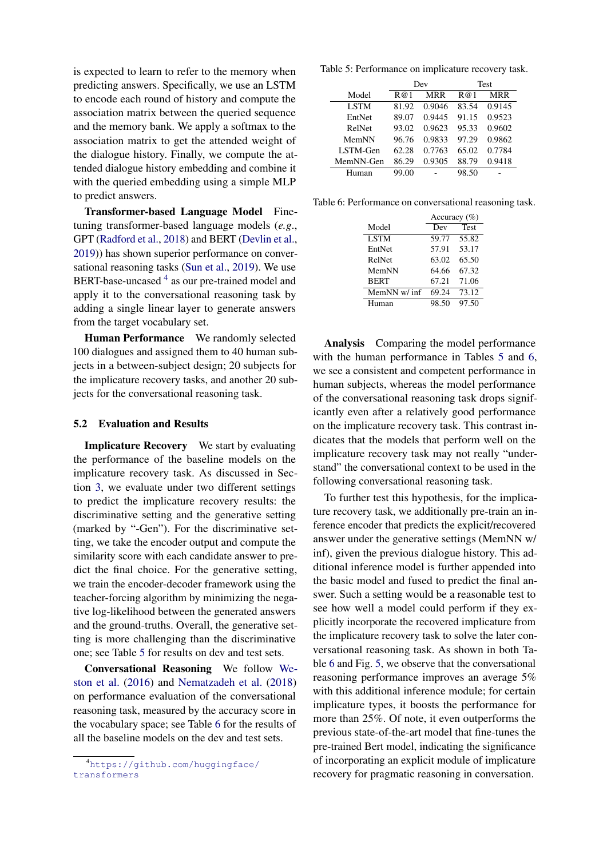is expected to learn to refer to the memory when predicting answers. Specifically, we use an LSTM to encode each round of history and compute the association matrix between the queried sequence and the memory bank. We apply a softmax to the association matrix to get the attended weight of the dialogue history. Finally, we compute the attended dialogue history embedding and combine it with the queried embedding using a simple MLP to predict answers.

Transformer-based Language Model Finetuning transformer-based language models (*e.g*., GPT [\(Radford et al.,](#page-10-22) [2018\)](#page-10-22) and BERT [\(Devlin et al.,](#page-9-23) [2019\)](#page-9-23)) has shown superior performance on conversational reasoning tasks [\(Sun et al.,](#page-10-14) [2019\)](#page-10-14). We use BERT-base-uncased <sup>[4](#page-0-1)</sup> as our pre-trained model and apply it to the conversational reasoning task by adding a single linear layer to generate answers from the target vocabulary set.

Human Performance We randomly selected 100 dialogues and assigned them to 40 human subjects in a between-subject design; 20 subjects for the implicature recovery tasks, and another 20 subjects for the conversational reasoning task.

#### 5.2 Evaluation and Results

Implicature Recovery We start by evaluating the performance of the baseline models on the implicature recovery task. As discussed in Section [3,](#page-3-0) we evaluate under two different settings to predict the implicature recovery results: the discriminative setting and the generative setting (marked by "-Gen"). For the discriminative setting, we take the encoder output and compute the similarity score with each candidate answer to predict the final choice. For the generative setting, we train the encoder-decoder framework using the teacher-forcing algorithm by minimizing the negative log-likelihood between the generated answers and the ground-truths. Overall, the generative setting is more challenging than the discriminative one; see Table [5](#page-7-0) for results on dev and test sets.

Conversational Reasoning We follow [We](#page-11-1)[ston et al.](#page-11-1) [\(2016\)](#page-11-1) and [Nematzadeh et al.](#page-10-1) [\(2018\)](#page-10-1) on performance evaluation of the conversational reasoning task, measured by the accuracy score in the vocabulary space; see Table [6](#page-7-1) for the results of all the baseline models on the dev and test sets.

<span id="page-7-0"></span>Table 5: Performance on implicature recovery task.

|             | Dev   |            |       | <b>Test</b> |
|-------------|-------|------------|-------|-------------|
| Model       | R@1   | <b>MRR</b> | R@1   | <b>MRR</b>  |
| <b>LSTM</b> | 81.92 | 0.9046     | 83.54 | 0.9145      |
| EntNet      | 89.07 | 0.9445     | 91.15 | 0.9523      |
| RelNet      | 93.02 | 0.9623     | 95.33 | 0.9602      |
| MemNN       | 96.76 | 0.9833     | 97.29 | 0.9862      |
| LSTM-Gen    | 62.28 | 0.7763     | 65.02 | 0.7784      |
| MemNN-Gen   | 86.29 | 0.9305     | 88.79 | 0.9418      |
| Human       | 99.00 |            | 98.50 |             |

<span id="page-7-1"></span>Table 6: Performance on conversational reasoning task.

|              | Accuracy $(\% )$ |             |  |
|--------------|------------------|-------------|--|
| Model        | Dev              | <b>Test</b> |  |
| <b>LSTM</b>  | 59.77            | 55.82       |  |
| EntNet       | 57.91            | 53.17       |  |
| RelNet       | 63.02            | 65.50       |  |
| MemNN        | 64.66            | 67.32       |  |
| <b>BERT</b>  | 67.21            | 71.06       |  |
| MemNN w/ inf | 69.24            | 73.12       |  |
| Human        | 98.50            | 97.50       |  |

Analysis Comparing the model performance with the human performance in Tables [5](#page-7-0) and [6,](#page-7-1) we see a consistent and competent performance in human subjects, whereas the model performance of the conversational reasoning task drops significantly even after a relatively good performance on the implicature recovery task. This contrast indicates that the models that perform well on the implicature recovery task may not really "understand" the conversational context to be used in the following conversational reasoning task.

To further test this hypothesis, for the implicature recovery task, we additionally pre-train an inference encoder that predicts the explicit/recovered answer under the generative settings (MemNN w/ inf), given the previous dialogue history. This additional inference model is further appended into the basic model and fused to predict the final answer. Such a setting would be a reasonable test to see how well a model could perform if they explicitly incorporate the recovered implicature from the implicature recovery task to solve the later conversational reasoning task. As shown in both Table [6](#page-7-1) and Fig. [5,](#page-8-0) we observe that the conversational reasoning performance improves an average 5% with this additional inference module; for certain implicature types, it boosts the performance for more than 25%. Of note, it even outperforms the previous state-of-the-art model that fine-tunes the pre-trained Bert model, indicating the significance of incorporating an explicit module of implicature recovery for pragmatic reasoning in conversation.

<sup>4</sup>[https://github.com/huggingface/](https://github.com/huggingface/transformers) [transformers](https://github.com/huggingface/transformers)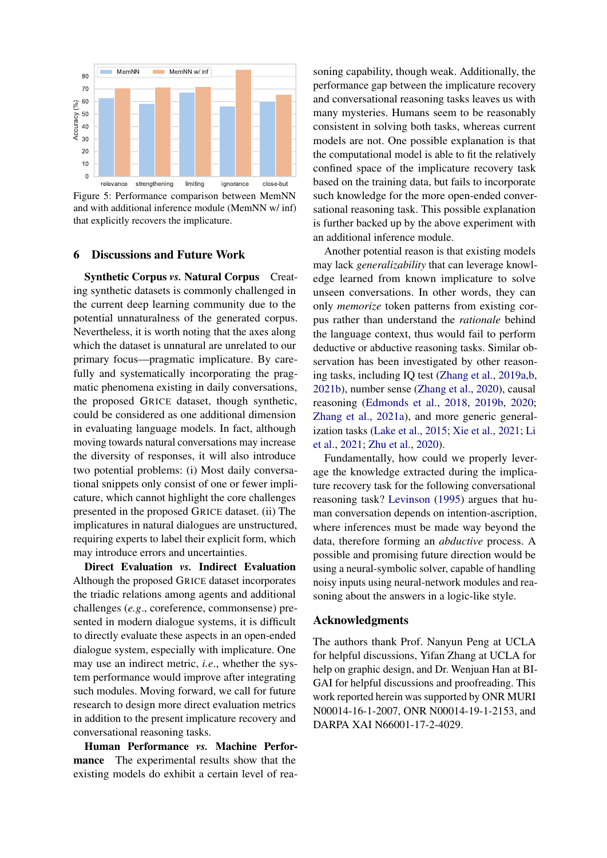<span id="page-8-0"></span>

Figure 5: Performance comparison between MemNN and with additional inference module (MemNN w/ inf) that explicitly recovers the implicature.

# 6 Discussions and Future Work

Synthetic Corpus *vs.* Natural Corpus Creating synthetic datasets is commonly challenged in the current deep learning community due to the potential unnaturalness of the generated corpus. Nevertheless, it is worth noting that the axes along which the dataset is unnatural are unrelated to our primary focus—pragmatic implicature. By carefully and systematically incorporating the pragmatic phenomena existing in daily conversations, the proposed GRICE dataset, though synthetic, could be considered as one additional dimension in evaluating language models. In fact, although moving towards natural conversations may increase the diversity of responses, it will also introduce two potential problems: (i) Most daily conversational snippets only consist of one or fewer implicature, which cannot highlight the core challenges presented in the proposed GRICE dataset. (ii) The implicatures in natural dialogues are unstructured, requiring experts to label their explicit form, which may introduce errors and uncertainties.

Direct Evaluation *vs.* Indirect Evaluation Although the proposed GRICE dataset incorporates the triadic relations among agents and additional challenges (*e.g*., coreference, commonsense) presented in modern dialogue systems, it is difficult to directly evaluate these aspects in an open-ended dialogue system, especially with implicature. One may use an indirect metric, *i.e*., whether the system performance would improve after integrating such modules. Moving forward, we call for future research to design more direct evaluation metrics in addition to the present implicature recovery and conversational reasoning tasks.

Human Performance *vs.* Machine Performance The experimental results show that the existing models do exhibit a certain level of reasoning capability, though weak. Additionally, the performance gap between the implicature recovery and conversational reasoning tasks leaves us with many mysteries. Humans seem to be reasonably consistent in solving both tasks, whereas current models are not. One possible explanation is that the computational model is able to fit the relatively confined space of the implicature recovery task based on the training data, but fails to incorporate such knowledge for the more open-ended conversational reasoning task. This possible explanation is further backed up by the above experiment with an additional inference module.

Another potential reason is that existing models may lack *generalizability* that can leverage knowledge learned from known implicature to solve unseen conversations. In other words, they can only *memorize* token patterns from existing corpus rather than understand the *rationale* behind the language context, thus would fail to perform deductive or abductive reasoning tasks. Similar observation has been investigated by other reasoning tasks, including IQ test [\(Zhang et al.,](#page-11-12) [2019a,](#page-11-12)[b,](#page-11-13) [2021b\)](#page-11-14), number sense [\(Zhang et al.,](#page-11-15) [2020\)](#page-11-15), causal reasoning [\(Edmonds et al.,](#page-9-24) [2018,](#page-9-24) [2019b,](#page-9-25) [2020;](#page-9-26) [Zhang et al.,](#page-11-16) [2021a\)](#page-11-16), and more generic generalization tasks [\(Lake et al.,](#page-10-23) [2015;](#page-10-23) [Xie et al.,](#page-11-17) [2021;](#page-11-17) [Li](#page-10-24) [et al.,](#page-10-24) [2021;](#page-10-24) [Zhu et al.,](#page-11-18) [2020\)](#page-11-18).

Fundamentally, how could we properly leverage the knowledge extracted during the implicature recovery task for the following conversational reasoning task? [Levinson](#page-10-25) [\(1995\)](#page-10-25) argues that human conversation depends on intention-ascription, where inferences must be made way beyond the data, therefore forming an *abductive* process. A possible and promising future direction would be using a neural-symbolic solver, capable of handling noisy inputs using neural-network modules and reasoning about the answers in a logic-like style.

### Acknowledgments

The authors thank Prof. Nanyun Peng at UCLA for helpful discussions, Yifan Zhang at UCLA for help on graphic design, and Dr. Wenjuan Han at BI-GAI for helpful discussions and proofreading. This work reported herein was supported by ONR MURI N00014-16-1-2007, ONR N00014-19-1-2153, and DARPA XAI N66001-17-2-4029.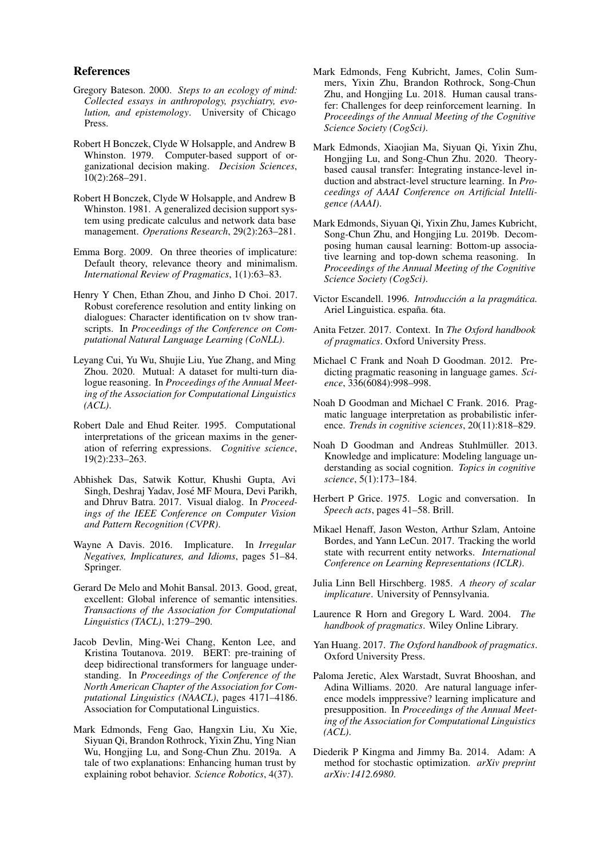#### References

- <span id="page-9-8"></span>Gregory Bateson. 2000. *Steps to an ecology of mind: Collected essays in anthropology, psychiatry, evolution, and epistemology*. University of Chicago Press.
- <span id="page-9-18"></span>Robert H Bonczek, Clyde W Holsapple, and Andrew B Whinston. 1979. Computer-based support of organizational decision making. *Decision Sciences*, 10(2):268–291.
- <span id="page-9-19"></span>Robert H Bonczek, Clyde W Holsapple, and Andrew B Whinston. 1981. A generalized decision support system using predicate calculus and network data base management. *Operations Research*, 29(2):263–281.
- <span id="page-9-6"></span>Emma Borg. 2009. On three theories of implicature: Default theory, relevance theory and minimalism. *International Review of Pragmatics*, 1(1):63–83.
- <span id="page-9-9"></span>Henry Y Chen, Ethan Zhou, and Jinho D Choi. 2017. Robust coreference resolution and entity linking on dialogues: Character identification on tv show transcripts. In *Proceedings of the Conference on Computational Natural Language Learning (CoNLL)*.
- <span id="page-9-5"></span>Leyang Cui, Yu Wu, Shujie Liu, Yue Zhang, and Ming Zhou. 2020. Mutual: A dataset for multi-turn dialogue reasoning. In *Proceedings of the Annual Meeting of the Association for Computational Linguistics (ACL)*.
- <span id="page-9-4"></span>Robert Dale and Ehud Reiter. 1995. Computational interpretations of the gricean maxims in the generation of referring expressions. *Cognitive science*, 19(2):233–263.
- <span id="page-9-16"></span>Abhishek Das, Satwik Kottur, Khushi Gupta, Avi Singh, Deshraj Yadav, Jose MF Moura, Devi Parikh, ´ and Dhruv Batra. 2017. Visual dialog. In *Proceedings of the IEEE Conference on Computer Vision and Pattern Recognition (CVPR)*.
- <span id="page-9-2"></span>Wayne A Davis. 2016. Implicature. In *Irregular Negatives, Implicatures, and Idioms*, pages 51–84. Springer.
- <span id="page-9-13"></span>Gerard De Melo and Mohit Bansal. 2013. Good, great, excellent: Global inference of semantic intensities. *Transactions of the Association for Computational Linguistics (TACL)*, 1:279–290.
- <span id="page-9-23"></span>Jacob Devlin, Ming-Wei Chang, Kenton Lee, and Kristina Toutanova. 2019. BERT: pre-training of deep bidirectional transformers for language understanding. In *Proceedings of the Conference of the North American Chapter of the Association for Computational Linguistics (NAACL)*, pages 4171–4186. Association for Computational Linguistics.
- <span id="page-9-17"></span>Mark Edmonds, Feng Gao, Hangxin Liu, Xu Xie, Siyuan Qi, Brandon Rothrock, Yixin Zhu, Ying Nian Wu, Hongjing Lu, and Song-Chun Zhu. 2019a. A tale of two explanations: Enhancing human trust by explaining robot behavior. *Science Robotics*, 4(37).
- <span id="page-9-24"></span>Mark Edmonds, Feng Kubricht, James, Colin Summers, Yixin Zhu, Brandon Rothrock, Song-Chun Zhu, and Hongjing Lu. 2018. Human causal transfer: Challenges for deep reinforcement learning. In *Proceedings of the Annual Meeting of the Cognitive Science Society (CogSci)*.
- <span id="page-9-26"></span>Mark Edmonds, Xiaojian Ma, Siyuan Qi, Yixin Zhu, Hongjing Lu, and Song-Chun Zhu. 2020. Theorybased causal transfer: Integrating instance-level induction and abstract-level structure learning. In *Proceedings of AAAI Conference on Artificial Intelligence (AAAI)*.
- <span id="page-9-25"></span>Mark Edmonds, Siyuan Qi, Yixin Zhu, James Kubricht, Song-Chun Zhu, and Hongjing Lu. 2019b. Decomposing human causal learning: Bottom-up associative learning and top-down schema reasoning. In *Proceedings of the Annual Meeting of the Cognitive Science Society (CogSci)*.
- <span id="page-9-0"></span>Victor Escandell. 1996. *Introducción a la pragmática*. Ariel Linguistica. españa. 6ta.
- <span id="page-9-7"></span>Anita Fetzer. 2017. Context. In *The Oxford handbook of pragmatics*. Oxford University Press.
- <span id="page-9-11"></span>Michael C Frank and Noah D Goodman. 2012. Predicting pragmatic reasoning in language games. *Science*, 336(6084):998–998.
- <span id="page-9-3"></span>Noah D Goodman and Michael C Frank. 2016. Pragmatic language interpretation as probabilistic inference. *Trends in cognitive sciences*, 20(11):818–829.
- <span id="page-9-12"></span>Noah D Goodman and Andreas Stuhlmüller. 2013. Knowledge and implicature: Modeling language understanding as social cognition. *Topics in cognitive science*, 5(1):173–184.
- <span id="page-9-1"></span>Herbert P Grice. 1975. Logic and conversation. In *Speech acts*, pages 41–58. Brill.
- <span id="page-9-22"></span>Mikael Henaff, Jason Weston, Arthur Szlam, Antoine Bordes, and Yann LeCun. 2017. Tracking the world state with recurrent entity networks. *International Conference on Learning Representations (ICLR)*.
- <span id="page-9-15"></span>Julia Linn Bell Hirschberg. 1985. *A theory of scalar implicature*. University of Pennsylvania.
- <span id="page-9-10"></span>Laurence R Horn and Gregory L Ward. 2004. *The handbook of pragmatics*. Wiley Online Library.
- <span id="page-9-20"></span>Yan Huang. 2017. *The Oxford handbook of pragmatics*. Oxford University Press.
- <span id="page-9-14"></span>Paloma Jeretic, Alex Warstadt, Suvrat Bhooshan, and Adina Williams. 2020. Are natural language inference models imppressive? learning implicature and presupposition. In *Proceedings of the Annual Meeting of the Association for Computational Linguistics (ACL)*.
- <span id="page-9-21"></span>Diederik P Kingma and Jimmy Ba. 2014. Adam: A method for stochastic optimization. *arXiv preprint arXiv:1412.6980*.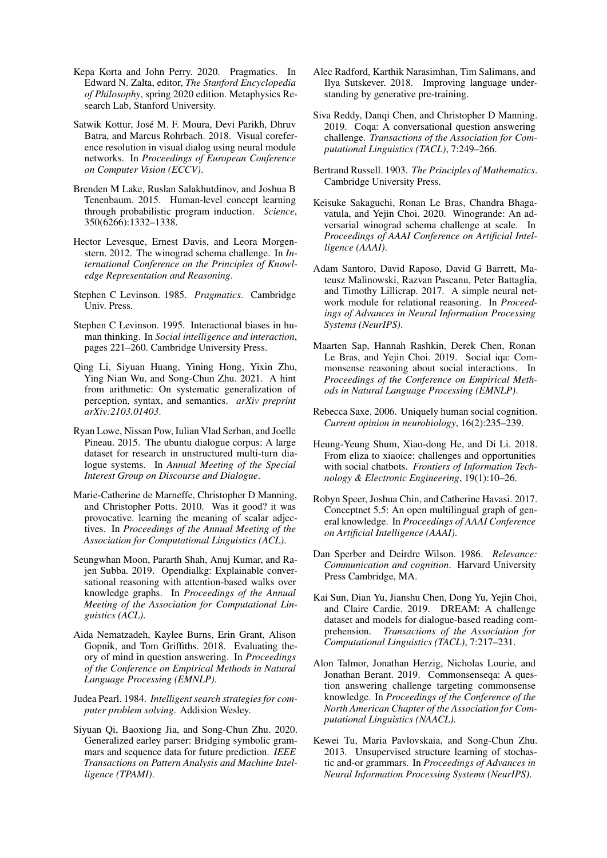- <span id="page-10-0"></span>Kepa Korta and John Perry. 2020. Pragmatics. In Edward N. Zalta, editor, *The Stanford Encyclopedia of Philosophy*, spring 2020 edition. Metaphysics Research Lab, Stanford University.
- <span id="page-10-6"></span>Satwik Kottur, Jose M. F. Moura, Devi Parikh, Dhruv ´ Batra, and Marcus Rohrbach. 2018. Visual coreference resolution in visual dialog using neural module networks. In *Proceedings of European Conference on Computer Vision (ECCV)*.
- <span id="page-10-23"></span>Brenden M Lake, Ruslan Salakhutdinov, and Joshua B Tenenbaum. 2015. Human-level concept learning through probabilistic program induction. *Science*, 350(6266):1332–1338.
- <span id="page-10-10"></span>Hector Levesque, Ernest Davis, and Leora Morgenstern. 2012. The winograd schema challenge. In *International Conference on the Principles of Knowledge Representation and Reasoning*.
- <span id="page-10-4"></span>Stephen C Levinson. 1985. *Pragmatics*. Cambridge Univ. Press.
- <span id="page-10-25"></span>Stephen C Levinson. 1995. Interactional biases in human thinking. In *Social intelligence and interaction*, pages 221–260. Cambridge University Press.
- <span id="page-10-24"></span>Qing Li, Siyuan Huang, Yining Hong, Yixin Zhu, Ying Nian Wu, and Song-Chun Zhu. 2021. A hint from arithmetic: On systematic generalization of perception, syntax, and semantics. *arXiv preprint arXiv:2103.01403*.
- <span id="page-10-13"></span>Ryan Lowe, Nissan Pow, Iulian Vlad Serban, and Joelle Pineau. 2015. The ubuntu dialogue corpus: A large dataset for research in unstructured multi-turn dialogue systems. In *Annual Meeting of the Special Interest Group on Discourse and Dialogue*.
- <span id="page-10-17"></span>Marie-Catherine de Marneffe, Christopher D Manning, and Christopher Potts. 2010. Was it good? it was provocative. learning the meaning of scalar adjectives. In *Proceedings of the Annual Meeting of the Association for Computational Linguistics (ACL)*.
- <span id="page-10-3"></span>Seungwhan Moon, Pararth Shah, Anuj Kumar, and Rajen Subba. 2019. Opendialkg: Explainable conversational reasoning with attention-based walks over knowledge graphs. In *Proceedings of the Annual Meeting of the Association for Computational Linguistics (ACL)*.
- <span id="page-10-1"></span>Aida Nematzadeh, Kaylee Burns, Erin Grant, Alison Gopnik, and Tom Griffiths. 2018. Evaluating theory of mind in question answering. In *Proceedings of the Conference on Empirical Methods in Natural Language Processing (EMNLP)*.
- <span id="page-10-20"></span>Judea Pearl. 1984. *Intelligent search strategies for computer problem solving*. Addision Wesley.
- <span id="page-10-18"></span>Siyuan Qi, Baoxiong Jia, and Song-Chun Zhu. 2020. Generalized earley parser: Bridging symbolic grammars and sequence data for future prediction. *IEEE Transactions on Pattern Analysis and Machine Intelligence (TPAMI)*.
- <span id="page-10-22"></span>Alec Radford, Karthik Narasimhan, Tim Salimans, and Ilya Sutskever. 2018. Improving language understanding by generative pre-training.
- <span id="page-10-15"></span>Siva Reddy, Danqi Chen, and Christopher D Manning. 2019. Coqa: A conversational question answering challenge. *Transactions of the Association for Computational Linguistics (TACL)*, 7:249–266.
- <span id="page-10-12"></span>Bertrand Russell. 1903. *The Principles of Mathematics*. Cambridge University Press.
- <span id="page-10-11"></span>Keisuke Sakaguchi, Ronan Le Bras, Chandra Bhagavatula, and Yejin Choi. 2020. Winogrande: An adversarial winograd schema challenge at scale. In *Proceedings of AAAI Conference on Artificial Intelligence (AAAI)*.
- <span id="page-10-21"></span>Adam Santoro, David Raposo, David G Barrett, Mateusz Malinowski, Razvan Pascanu, Peter Battaglia, and Timothy Lillicrap. 2017. A simple neural network module for relational reasoning. In *Proceedings of Advances in Neural Information Processing Systems (NeurIPS)*.
- <span id="page-10-7"></span>Maarten Sap, Hannah Rashkin, Derek Chen, Ronan Le Bras, and Yejin Choi. 2019. Social iqa: Commonsense reasoning about social interactions. In *Proceedings of the Conference on Empirical Methods in Natural Language Processing (EMNLP)*.
- <span id="page-10-5"></span>Rebecca Saxe. 2006. Uniquely human social cognition. *Current opinion in neurobiology*, 16(2):235–239.
- <span id="page-10-2"></span>Heung-Yeung Shum, Xiao-dong He, and Di Li. 2018. From eliza to xiaoice: challenges and opportunities with social chatbots. *Frontiers of Information Technology & Electronic Engineering*, 19(1):10–26.
- <span id="page-10-9"></span>Robyn Speer, Joshua Chin, and Catherine Havasi. 2017. Conceptnet 5.5: An open multilingual graph of general knowledge. In *Proceedings of AAAI Conference on Artificial Intelligence (AAAI)*.
- <span id="page-10-16"></span>Dan Sperber and Deirdre Wilson. 1986. *Relevance: Communication and cognition*. Harvard University Press Cambridge, MA.
- <span id="page-10-14"></span>Kai Sun, Dian Yu, Jianshu Chen, Dong Yu, Yejin Choi, and Claire Cardie. 2019. DREAM: A challenge dataset and models for dialogue-based reading comprehension. *Transactions of the Association for Computational Linguistics (TACL)*, 7:217–231.
- <span id="page-10-8"></span>Alon Talmor, Jonathan Herzig, Nicholas Lourie, and Jonathan Berant. 2019. Commonsenseqa: A question answering challenge targeting commonsense knowledge. In *Proceedings of the Conference of the North American Chapter of the Association for Computational Linguistics (NAACL)*.
- <span id="page-10-19"></span>Kewei Tu, Maria Pavlovskaia, and Song-Chun Zhu. 2013. Unsupervised structure learning of stochastic and-or grammars. In *Proceedings of Advances in Neural Information Processing Systems (NeurIPS)*.